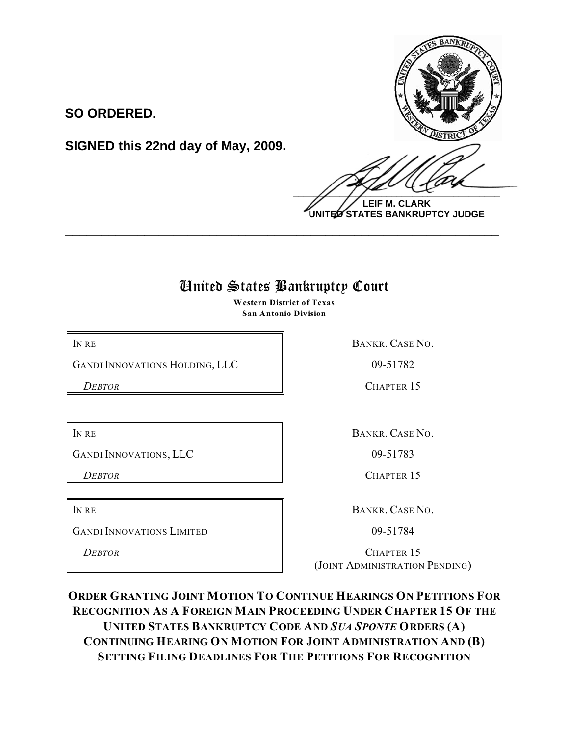

**LEIF M. CLARK UNITED STATES BANKRUPTCY JUDGE**

## United States Bankruptcy Court

**\_\_\_\_\_\_\_\_\_\_\_\_\_\_\_\_\_\_\_\_\_\_\_\_\_\_\_\_\_\_\_\_\_\_\_\_\_\_\_\_\_\_\_\_\_\_\_\_\_\_\_\_\_\_\_\_\_\_\_\_**

**Western District of Texas San Antonio Division**

GANDI INNOVATIONS HOLDING, LLC  $\parallel$  09-51782

**SIGNED this 22nd day of May, 2009.**

**SO ORDERED.**

GANDI INNOVATIONS, LLC 199-51783

GANDI INNOVATIONS LIMITED 09-51784

IN RE BANKR. CASE NO.

*DEBTOR* CHAPTER 15

IN RE BANKR. CASE NO.

**DEBTOR** CHAPTER 15

IN RE BANKR. CASE NO.

**DEBTOR** CHAPTER 15 (JOINT ADMINISTRATION PENDING)

**ORDER GRANTING JOINT MOTION TO CONTINUE HEARINGS ON PETITIONS FOR RECOGNITION AS A FOREIGN MAIN PROCEEDING UNDER CHAPTER 15 OF THE UNITED STATES BANKRUPTCY CODE AND** *SUA SPONTE* **ORDERS (A) CONTINUING HEARING ON MOTION FOR JOINT ADMINISTRATION AND (B) SETTING FILING DEADLINES FOR THE PETITIONS FOR RECOGNITION**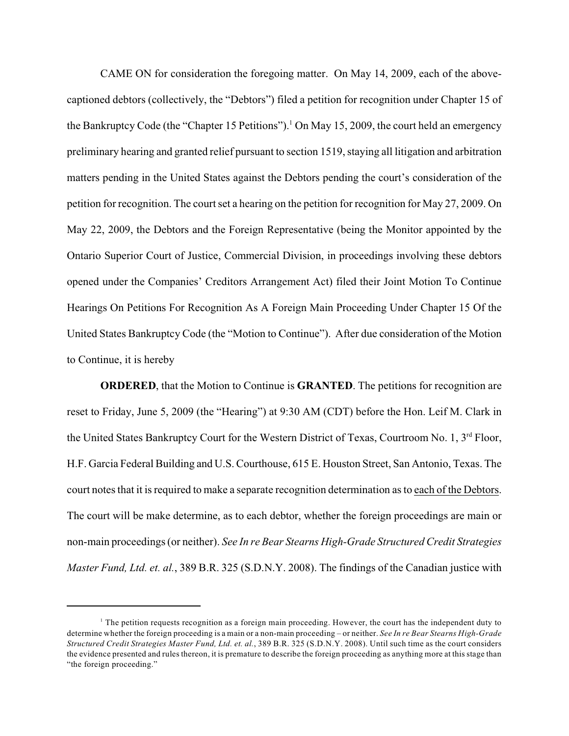CAME ON for consideration the foregoing matter. On May 14, 2009, each of the abovecaptioned debtors (collectively, the "Debtors") filed a petition for recognition under Chapter 15 of the Bankruptcy Code (the "Chapter 15 Petitions").<sup>1</sup> On May 15, 2009, the court held an emergency preliminary hearing and granted relief pursuant to section 1519, staying all litigation and arbitration matters pending in the United States against the Debtors pending the court's consideration of the petition for recognition. The court set a hearing on the petition for recognition for May 27, 2009. On May 22, 2009, the Debtors and the Foreign Representative (being the Monitor appointed by the Ontario Superior Court of Justice, Commercial Division, in proceedings involving these debtors opened under the Companies' Creditors Arrangement Act) filed their Joint Motion To Continue Hearings On Petitions For Recognition As A Foreign Main Proceeding Under Chapter 15 Of the United States Bankruptcy Code (the "Motion to Continue"). After due consideration of the Motion to Continue, it is hereby

**ORDERED**, that the Motion to Continue is **GRANTED**. The petitions for recognition are reset to Friday, June 5, 2009 (the "Hearing") at 9:30 AM (CDT) before the Hon. Leif M. Clark in the United States Bankruptcy Court for the Western District of Texas, Courtroom No. 1, 3<sup>rd</sup> Floor, H.F. Garcia Federal Building and U.S. Courthouse, 615 E. Houston Street, San Antonio, Texas. The court notes that it is required to make a separate recognition determination as to each of the Debtors. The court will be make determine, as to each debtor, whether the foreign proceedings are main or non-main proceedings (or neither). *See In re Bear Stearns High-Grade Structured Credit Strategies Master Fund, Ltd. et. al.*, 389 B.R. 325 (S.D.N.Y. 2008). The findings of the Canadian justice with

 $<sup>1</sup>$  The petition requests recognition as a foreign main proceeding. However, the court has the independent duty to</sup> determine whether the foreign proceeding is a main or a non-main proceeding – or neither. *See In re Bear Stearns High-Grade Structured Credit Strategies Master Fund, Ltd. et. al.*, 389 B.R. 325 (S.D.N.Y. 2008). Until such time as the court considers the evidence presented and rules thereon, it is premature to describe the foreign proceeding as anything more at this stage than "the foreign proceeding."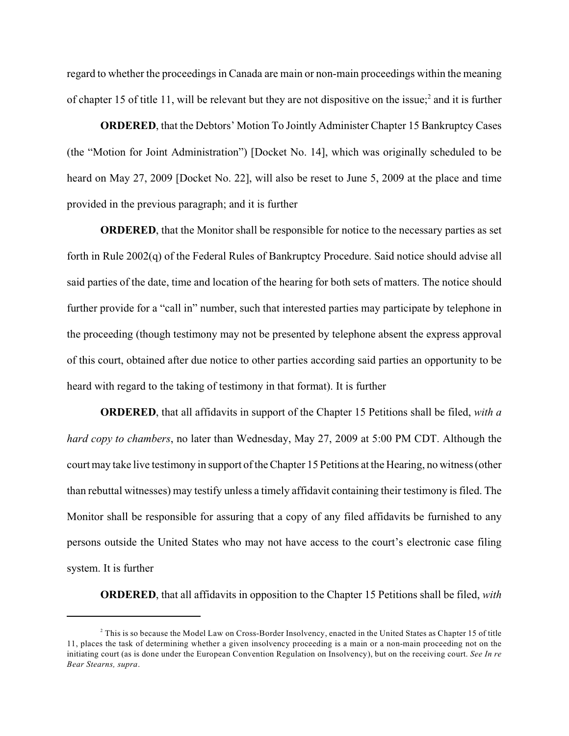regard to whether the proceedings in Canada are main or non-main proceedings within the meaning of chapter 15 of title 11, will be relevant but they are not dispositive on the issue;<sup>2</sup> and it is further

**ORDERED**, that the Debtors' Motion To Jointly Administer Chapter 15 Bankruptcy Cases (the "Motion for Joint Administration") [Docket No. 14], which was originally scheduled to be heard on May 27, 2009 [Docket No. 22], will also be reset to June 5, 2009 at the place and time provided in the previous paragraph; and it is further

**ORDERED**, that the Monitor shall be responsible for notice to the necessary parties as set forth in Rule 2002(q) of the Federal Rules of Bankruptcy Procedure. Said notice should advise all said parties of the date, time and location of the hearing for both sets of matters. The notice should further provide for a "call in" number, such that interested parties may participate by telephone in the proceeding (though testimony may not be presented by telephone absent the express approval of this court, obtained after due notice to other parties according said parties an opportunity to be heard with regard to the taking of testimony in that format). It is further

**ORDERED**, that all affidavits in support of the Chapter 15 Petitions shall be filed, *with a hard copy to chambers*, no later than Wednesday, May 27, 2009 at 5:00 PM CDT. Although the court may take live testimony in support of the Chapter 15 Petitions at the Hearing, no witness (other than rebuttal witnesses) may testify unless a timely affidavit containing their testimony is filed. The Monitor shall be responsible for assuring that a copy of any filed affidavits be furnished to any persons outside the United States who may not have access to the court's electronic case filing system. It is further

**ORDERED**, that all affidavits in opposition to the Chapter 15 Petitions shall be filed, *with*

 $^2$  This is so because the Model Law on Cross-Border Insolvency, enacted in the United States as Chapter 15 of title 11, places the task of determining whether a given insolvency proceeding is a main or a non-main proceeding not on the initiating court (as is done under the European Convention Regulation on Insolvency), but on the receiving court. *See In re Bear Stearns, supra*.